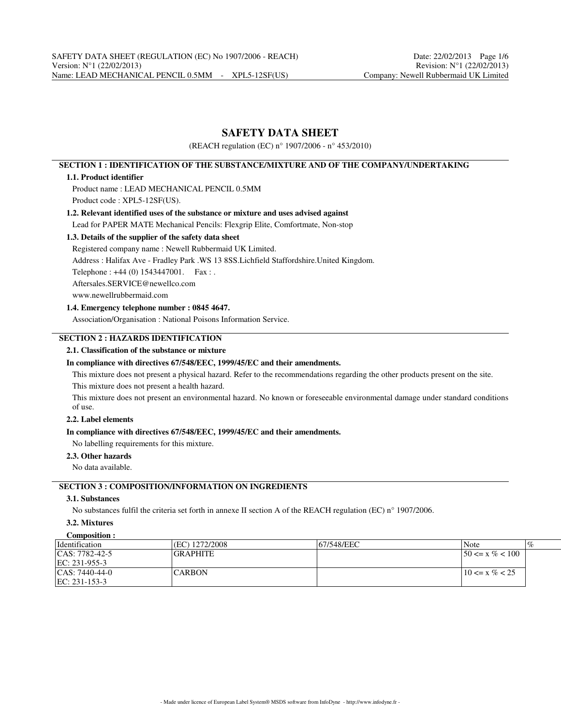## **SAFETY DATA SHEET**

(REACH regulation (EC) n° 1907/2006 - n° 453/2010)

## **SECTION 1 : IDENTIFICATION OF THE SUBSTANCE/MIXTURE AND OF THE COMPANY/UNDERTAKING**

#### **1.1. Product identifier**

Product name : LEAD MECHANICAL PENCIL 0.5MM Product code : XPL5-12SF(US).

# **1.2. Relevant identified uses of the substance or mixture and uses advised against**

## Lead for PAPER MATE Mechanical Pencils: Flexgrip Elite, Comfortmate, Non-stop

## **1.3. Details of the supplier of the safety data sheet**

Registered company name : Newell Rubbermaid UK Limited.

Address : Halifax Ave - Fradley Park .WS 13 8SS.Lichfield Staffordshire.United Kingdom.

Telephone : +44 (0) 1543447001. Fax : .

Aftersales.SERVICE@newellco.com

www.newellrubbermaid.com

## **1.4. Emergency telephone number : 0845 4647.**

Association/Organisation : National Poisons Information Service.

## **SECTION 2 : HAZARDS IDENTIFICATION**

#### **2.1. Classification of the substance or mixture**

#### **In compliance with directives 67/548/EEC, 1999/45/EC and their amendments.**

This mixture does not present a physical hazard. Refer to the recommendations regarding the other products present on the site. This mixture does not present a health hazard.

This mixture does not present an environmental hazard. No known or foreseeable environmental damage under standard conditions of use.

## **2.2. Label elements**

#### **In compliance with directives 67/548/EEC, 1999/45/EC and their amendments.**

No labelling requirements for this mixture.

#### **2.3. Other hazards**

No data available.

## **SECTION 3 : COMPOSITION/INFORMATION ON INGREDIENTS**

## **3.1. Substances**

No substances fulfil the criteria set forth in annexe II section A of the REACH regulation (EC) n° 1907/2006.

## **3.2. Mixtures**

| Composition :        |                  |             |                                   |
|----------------------|------------------|-------------|-----------------------------------|
| <i>dentification</i> | (EC) 1272/2008   | 167/548/EEC | $\overline{\mathcal{C}}$<br> Note |
| $ CAS: 7782-42-5$    | <b>IGRAPHITE</b> |             | $150 \le x \% < 100$              |
| $ EC: 231-955-3$     |                  |             |                                   |
| $ CAS: 7440-44-0 $   | ICARBON          |             | $10 \le x \% < 25$                |
| $EC: 231-153-3$      |                  |             |                                   |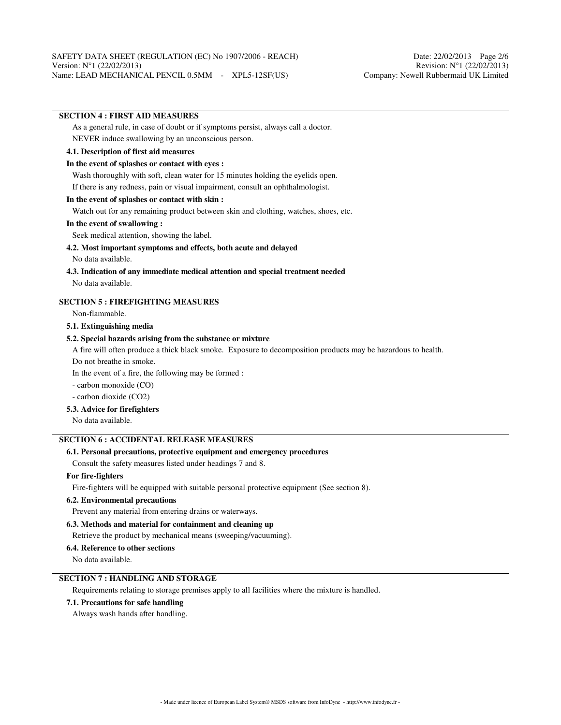## **SECTION 4 : FIRST AID MEASURES**

As a general rule, in case of doubt or if symptoms persist, always call a doctor. NEVER induce swallowing by an unconscious person.

#### **4.1. Description of first aid measures**

#### **In the event of splashes or contact with eyes :**

Wash thoroughly with soft, clean water for 15 minutes holding the eyelids open.

If there is any redness, pain or visual impairment, consult an ophthalmologist.

#### **In the event of splashes or contact with skin :**

Watch out for any remaining product between skin and clothing, watches, shoes, etc.

#### **In the event of swallowing :**

Seek medical attention, showing the label.

#### **4.2. Most important symptoms and effects, both acute and delayed**

No data available.

#### **4.3. Indication of any immediate medical attention and special treatment needed** No data available.

## **SECTION 5 : FIREFIGHTING MEASURES**

Non-flammable.

#### **5.1. Extinguishing media**

#### **5.2. Special hazards arising from the substance or mixture**

A fire will often produce a thick black smoke. Exposure to decomposition products may be hazardous to health.

Do not breathe in smoke.

In the event of a fire, the following may be formed :

- carbon monoxide (CO)

- carbon dioxide (CO2)

#### **5.3. Advice for firefighters**

No data available.

## **SECTION 6 : ACCIDENTAL RELEASE MEASURES**

## **6.1. Personal precautions, protective equipment and emergency procedures**

Consult the safety measures listed under headings 7 and 8.

#### **For fire-fighters**

Fire-fighters will be equipped with suitable personal protective equipment (See section 8).

#### **6.2. Environmental precautions**

Prevent any material from entering drains or waterways.

#### **6.3. Methods and material for containment and cleaning up**

Retrieve the product by mechanical means (sweeping/vacuuming).

#### **6.4. Reference to other sections**

No data available.

## **SECTION 7 : HANDLING AND STORAGE**

Requirements relating to storage premises apply to all facilities where the mixture is handled.

#### **7.1. Precautions for safe handling**

Always wash hands after handling.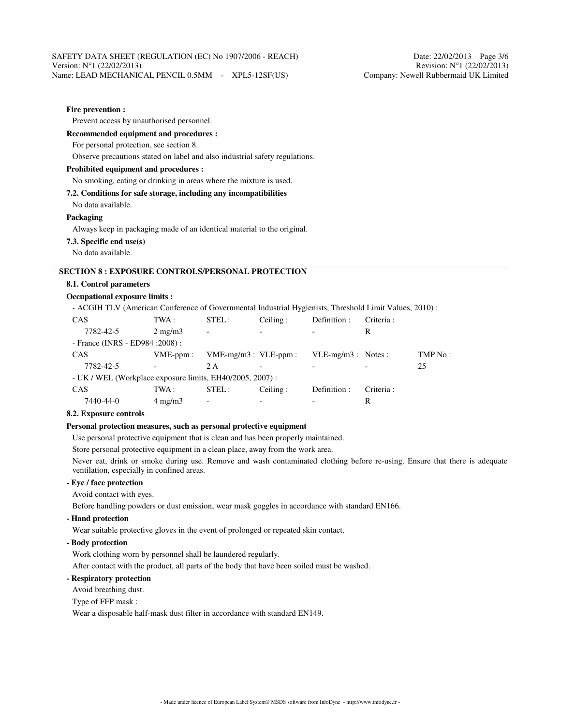#### **Fire prevention :**

Prevent access by unauthorised personnel.

#### **Recommended equipment and procedures :**

For personal protection, see section 8.

Observe precautions stated on label and also industrial safety regulations.

#### **Prohibited equipment and procedures :**

#### No smoking, eating or drinking in areas where the mixture is used.

**7.2. Conditions for safe storage, including any incompatibilities**

No data available.

#### **Packaging**

Always keep in packaging made of an identical material to the original.

**7.3. Specific end use(s)**

No data available.

## **SECTION 8 : EXPOSURE CONTROLS/PERSONAL PROTECTION**

#### **8.1. Control parameters**

## **Occupational exposure limits :**

- ACGIH TLV (American Conference of Governmental Industrial Hygienists, Threshold Limit Values, 2010) :

| <b>CAS</b>                                               | TWA :            | STEL:                     | Ceiling: | Definition :         | Criteria:  |         |
|----------------------------------------------------------|------------------|---------------------------|----------|----------------------|------------|---------|
| 7782-42-5                                                | $2 \text{ mg/m}$ | $\overline{\phantom{0}}$  |          |                      | R          |         |
| - France (INRS - ED984 : 2008) :                         |                  |                           |          |                      |            |         |
| <b>CAS</b>                                               | $VME-ppm$ :      | $VME-mg/m3$ : $VLE-ppm$ : |          | $VLE-mg/m3$ : Notes: |            | TMP No: |
| 7782-42-5                                                |                  | 2 A                       |          |                      |            | 25      |
| - UK / WEL (Workplace exposure limits, EH40/2005, 2007): |                  |                           |          |                      |            |         |
| <b>CAS</b>                                               | TWA :            | STEL:                     | Ceiling: | Definition :         | Criteria : |         |
| 7440-44-0                                                | $4 \text{ mg/m}$ | $\overline{\phantom{0}}$  | -        |                      | R          |         |

#### **8.2. Exposure controls**

#### **Personal protection measures, such as personal protective equipment**

Use personal protective equipment that is clean and has been properly maintained.

Store personal protective equipment in a clean place, away from the work area.

Never eat, drink or smoke during use. Remove and wash contaminated clothing before re-using. Ensure that there is adequate ventilation, especially in confined areas.

## **- Eye / face protection**

Avoid contact with eyes.

Before handling powders or dust emission, wear mask goggles in accordance with standard EN166.

#### **- Hand protection**

Wear suitable protective gloves in the event of prolonged or repeated skin contact.

#### **- Body protection**

Work clothing worn by personnel shall be laundered regularly.

After contact with the product, all parts of the body that have been soiled must be washed.

## **- Respiratory protection**

Avoid breathing dust.

#### Type of FFP mask :

Wear a disposable half-mask dust filter in accordance with standard EN149.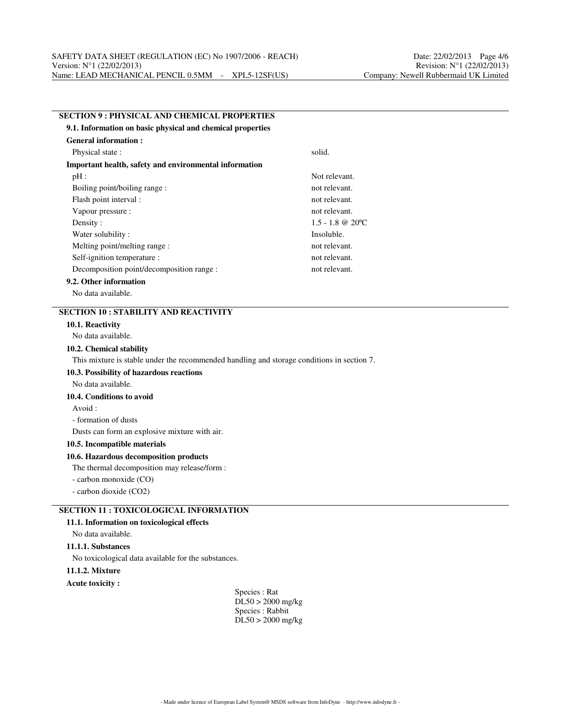## **SECTION 9 : PHYSICAL AND CHEMICAL PROPERTIES 9.1. Information on basic physical and chemical properties General information :** Physical state : solid. **Important health, safety and environmental information** pH : Not relevant. Boiling point/boiling range : not relevant. Flash point interval : not relevant. Vapour pressure : not relevant. Density : 1.5 - 1.8 @ 20 °C Water solubility : Insoluble. Melting point/melting range : not relevant. Self-ignition temperature : not relevant. Decomposition point/decomposition range : not relevant. **9.2. Other information**

No data available.

## **SECTION 10 : STABILITY AND REACTIVITY**

#### **10.1. Reactivity**

No data available.

#### **10.2. Chemical stability**

This mixture is stable under the recommended handling and storage conditions in section 7.

#### **10.3. Possibility of hazardous reactions**

No data available.

#### **10.4. Conditions to avoid**

Avoid :

#### - formation of dusts

Dusts can form an explosive mixture with air.

#### **10.5. Incompatible materials**

#### **10.6. Hazardous decomposition products**

The thermal decomposition may release/form :

- carbon monoxide (CO)

- carbon dioxide (CO2)

## **SECTION 11 : TOXICOLOGICAL INFORMATION**

#### **11.1. Information on toxicological effects**

No data available.

**11.1.1. Substances**

No toxicological data available for the substances.

## **11.1.2. Mixture**

**Acute toxicity :**

Species : Rat DL50 > 2000 mg/kg Species : Rabbit  $D<sub>L</sub>50 > 2000$  mg/kg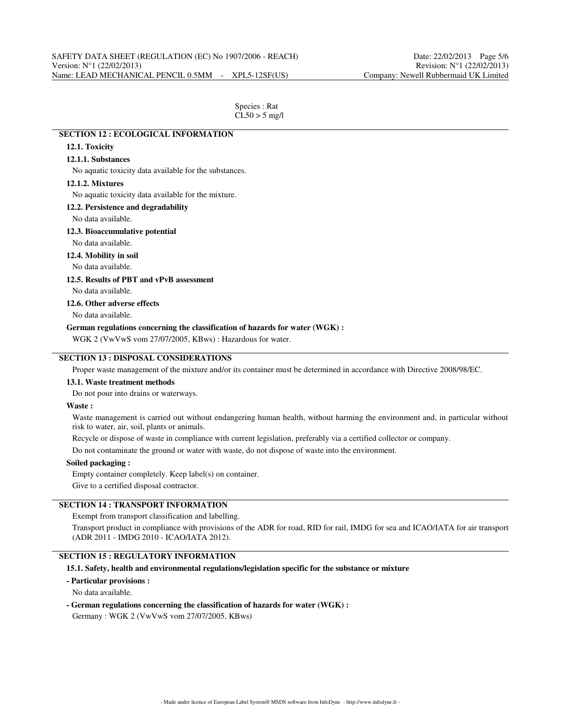| Species : Rat   |
|-----------------|
| $CL50 > 5$ mg/l |

## **SECTION 12 : ECOLOGICAL INFORMATION 12.1. Toxicity 12.1.1. Substances**

No aquatic toxicity data available for the substances.

#### **12.1.2. Mixtures**

No aquatic toxicity data available for the mixture.

#### **12.2. Persistence and degradability**

No data available.

#### **12.3. Bioaccumulative potential**

No data available.

**12.4. Mobility in soil**

No data available.

## **12.5. Results of PBT and vPvB assessment**

No data available.

## **12.6. Other adverse effects**

No data available.

## **German regulations concerning the classification of hazards for water (WGK) :**

WGK 2 (VwVwS vom 27/07/2005, KBws) : Hazardous for water.

## **SECTION 13 : DISPOSAL CONSIDERATIONS**

Proper waste management of the mixture and/or its container must be determined in accordance with Directive 2008/98/EC.

#### **13.1. Waste treatment methods**

Do not pour into drains or waterways.

#### **Waste :**

Waste management is carried out without endangering human health, without harming the environment and, in particular without risk to water, air, soil, plants or animals.

Recycle or dispose of waste in compliance with current legislation, preferably via a certified collector or company.

Do not contaminate the ground or water with waste, do not dispose of waste into the environment.

#### **Soiled packaging :**

Empty container completely. Keep label(s) on container.

Give to a certified disposal contractor.

## **SECTION 14 : TRANSPORT INFORMATION**

Exempt from transport classification and labelling.

Transport product in compliance with provisions of the ADR for road, RID for rail, IMDG for sea and ICAO/IATA for air transport (ADR 2011 - IMDG 2010 - ICAO/IATA 2012).

#### **SECTION 15 : REGULATORY INFORMATION**

#### **15.1. Safety, health and environmental regulations/legislation specific for the substance or mixture**

#### **- Particular provisions :**

No data available.

**- German regulations concerning the classification of hazards for water (WGK) :**

Germany : WGK 2 (VwVwS vom 27/07/2005, KBws)